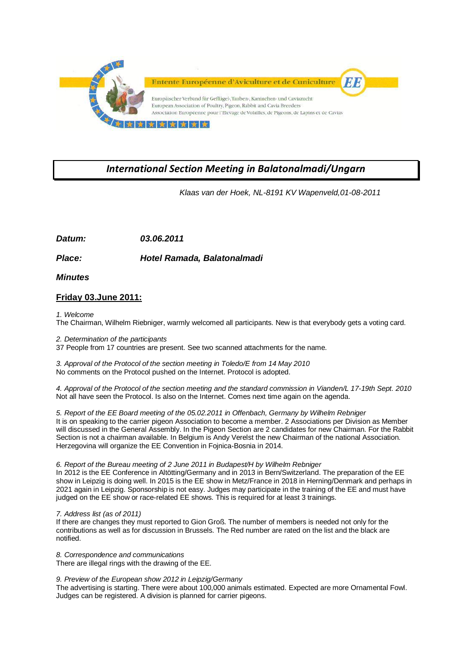

## *International Section Meeting in Balatonalmadi/Ungarn*

 *Klaas van der Hoek, NL-8191 KV Wapenveld,01-08-2011*

*Datum: 03.06.2011*

*Place: Hotel Ramada, Balatonalmadi*

*Minutes*

## **Friday 03.June 2011:**

*1. Welcome*

The Chairman, Wilhelm Riebniger, warmly welcomed all participants. New is that everybody gets a voting card.

*2. Determination of the participants*

37 People from 17 countries are present. See two scanned attachments for the name.

*3. Approval of the Protocol of the section meeting in Toledo/E from 14 May 2010* No comments on the Protocol pushed on the Internet. Protocol is adopted.

*4. Approval of the Protocol of the section meeting and the standard commission in Vianden/L 17-19th Sept. 2010* Not all have seen the Protocol. Is also on the Internet. Comes next time again on the agenda.

*5. Report of the EE Board meeting of the 05.02.2011 in Offenbach, Germany by Wilhelm Rebniger* It is on speaking to the carrier pigeon Association to become a member. 2 Associations per Division as Member will discussed in the General Assembly. In the Pigeon Section are 2 candidates for new Chairman. For the Rabbit Section is not a chairman available. In Belgium is Andy Verelst the new Chairman of the national Association. Herzegovina will organize the EE Convention in Fojnica-Bosnia in 2014.

*6. Report of the Bureau meeting of 2 June 2011 in Budapest/H by Wilhelm Rebniger*

In 2012 is the EE Conference in Altötting/Germany and in 2013 in Bern/Switzerland. The preparation of the EE show in Leipzig is doing well. In 2015 is the EE show in Metz/France in 2018 in Herning/Denmark and perhaps in 2021 again in Leipzig. Sponsorship is not easy. Judges may participate in the training of the EE and must have judged on the EE show or race-related EE shows. This is required for at least 3 trainings.

## *7. Address list (as of 2011)*

If there are changes they must reported to Gion Groß. The number of members is needed not only for the contributions as well as for discussion in Brussels. The Red number are rated on the list and the black are notified.

*8. Correspondence and communications* There are illegal rings with the drawing of the EE.

*9. Preview of the European show 2012 in Leipzig/Germany*

The advertising is starting. There were about 100,000 animals estimated. Expected are more Ornamental Fowl. Judges can be registered. A division is planned for carrier pigeons.